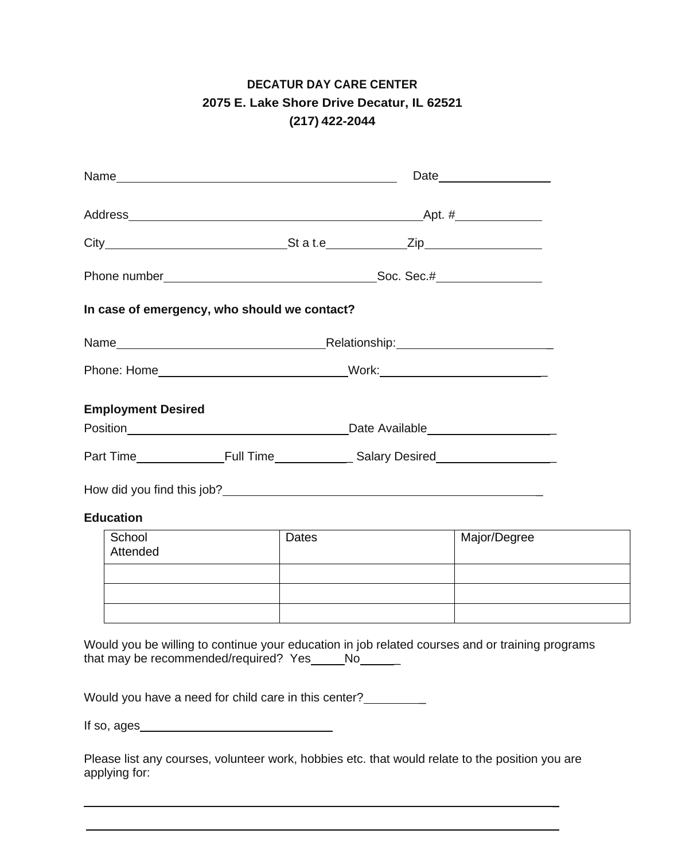## **DECATUR DAY CARE CENTER 2075 E. Lake Shore Drive Decatur, IL 62521 (217) 422-2044**

| In case of emergency, who should we contact?                                                                                                                                                                                         |  |       |                                                                |              |  |  |
|--------------------------------------------------------------------------------------------------------------------------------------------------------------------------------------------------------------------------------------|--|-------|----------------------------------------------------------------|--------------|--|--|
|                                                                                                                                                                                                                                      |  |       |                                                                |              |  |  |
|                                                                                                                                                                                                                                      |  |       |                                                                |              |  |  |
| <b>Employment Desired</b>                                                                                                                                                                                                            |  |       |                                                                |              |  |  |
| Position <b>Marshall Contract Contract Contract Contract Contract Contract Contract Contract Contract Contract Contract Contract Contract Contract Contract Contract Contract Contract Contract Contract Contract Contract Contr</b> |  |       |                                                                |              |  |  |
|                                                                                                                                                                                                                                      |  |       |                                                                |              |  |  |
|                                                                                                                                                                                                                                      |  |       |                                                                |              |  |  |
| <b>Education</b>                                                                                                                                                                                                                     |  |       | <u> 1980 - Johann Barn, mars an t-Amerikaansk ferskeider (</u> |              |  |  |
| School<br>Attended                                                                                                                                                                                                                   |  | Dates |                                                                | Major/Degree |  |  |
|                                                                                                                                                                                                                                      |  |       |                                                                |              |  |  |
|                                                                                                                                                                                                                                      |  |       |                                                                |              |  |  |
| Would you be willing to continue your education in job related courses and or training programs<br>that may be recommended/required? Yes____No_____                                                                                  |  |       |                                                                |              |  |  |
| Would you have a need for child care in this center?                                                                                                                                                                                 |  |       |                                                                |              |  |  |

If so, ages

Please list any courses, volunteer work, hobbies etc. that would relate to the position you are applying for:

\_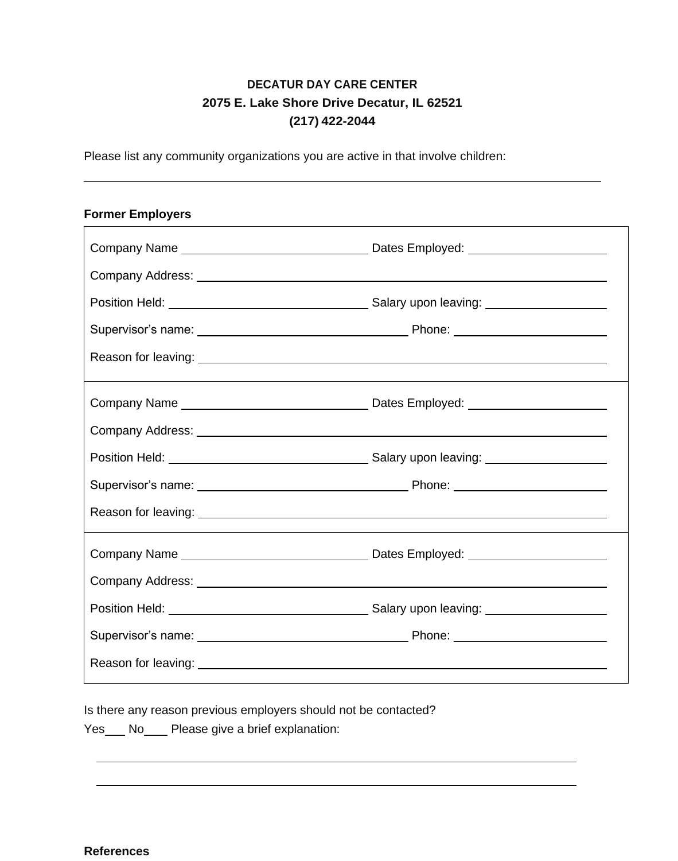## **DECATUR DAY CARE CENTER 2075 E. Lake Shore Drive Decatur, IL 62521 (217) 422-2044**

Please list any community organizations you are active in that involve children:

## **Former Employers**

Is there any reason previous employers should not be contacted?

Yes No Please give a brief explanation: